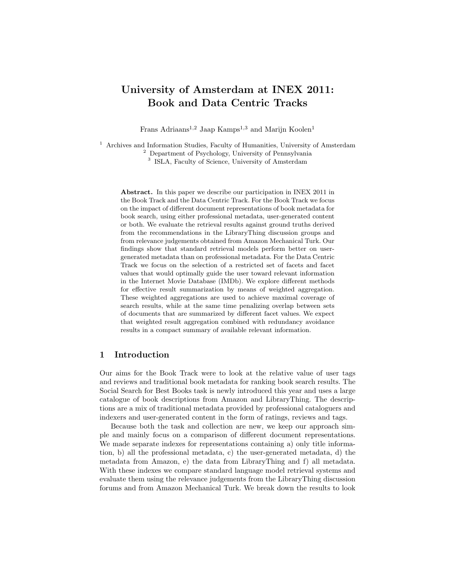# University of Amsterdam at INEX 2011: Book and Data Centric Tracks

Frans Adriaans<sup>1,2</sup> Jaap Kamps<sup>1,3</sup> and Marijn Koolen<sup>1</sup>

<sup>1</sup> Archives and Information Studies, Faculty of Humanities, University of Amsterdam

<sup>2</sup> Department of Psychology, University of Pennsylvania

<sup>3</sup> ISLA, Faculty of Science, University of Amsterdam

Abstract. In this paper we describe our participation in INEX 2011 in the Book Track and the Data Centric Track. For the Book Track we focus on the impact of different document representations of book metadata for book search, using either professional metadata, user-generated content or both. We evaluate the retrieval results against ground truths derived from the recommendations in the LibraryThing discussion groups and from relevance judgements obtained from Amazon Mechanical Turk. Our findings show that standard retrieval models perform better on usergenerated metadata than on professional metadata. For the Data Centric Track we focus on the selection of a restricted set of facets and facet values that would optimally guide the user toward relevant information in the Internet Movie Database (IMDb). We explore different methods for effective result summarization by means of weighted aggregation. These weighted aggregations are used to achieve maximal coverage of search results, while at the same time penalizing overlap between sets of documents that are summarized by different facet values. We expect that weighted result aggregation combined with redundancy avoidance results in a compact summary of available relevant information.

# 1 Introduction

Our aims for the Book Track were to look at the relative value of user tags and reviews and traditional book metadata for ranking book search results. The Social Search for Best Books task is newly introduced this year and uses a large catalogue of book descriptions from Amazon and LibraryThing. The descriptions are a mix of traditional metadata provided by professional cataloguers and indexers and user-generated content in the form of ratings, reviews and tags.

Because both the task and collection are new, we keep our approach simple and mainly focus on a comparison of different document representations. We made separate indexes for representations containing a) only title information, b) all the professional metadata, c) the user-generated metadata, d) the metadata from Amazon, e) the data from LibraryThing and f) all metadata. With these indexes we compare standard language model retrieval systems and evaluate them using the relevance judgements from the LibraryThing discussion forums and from Amazon Mechanical Turk. We break down the results to look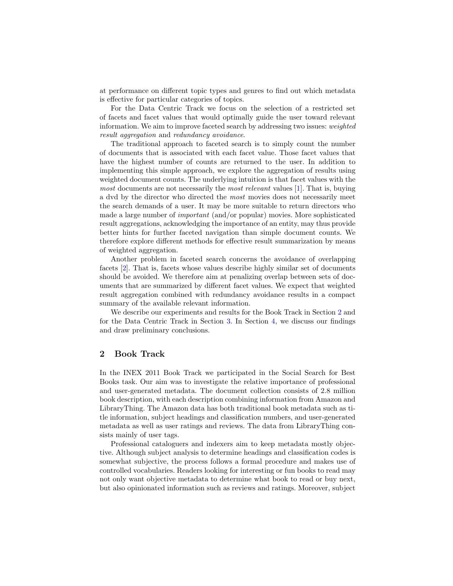at performance on different topic types and genres to find out which metadata is effective for particular categories of topics.

For the Data Centric Track we focus on the selection of a restricted set of facets and facet values that would optimally guide the user toward relevant information. We aim to improve faceted search by addressing two issues: weighted result aggregation and redundancy avoidance.

The traditional approach to faceted search is to simply count the number of documents that is associated with each facet value. Those facet values that have the highest number of counts are returned to the user. In addition to implementing this simple approach, we explore the aggregation of results using weighted document counts. The underlying intuition is that facet values with the most documents are not necessarily the most relevant values [\[1\]](#page-12-0). That is, buying a dvd by the director who directed the most movies does not necessarily meet the search demands of a user. It may be more suitable to return directors who made a large number of important (and/or popular) movies. More sophisticated result aggregations, acknowledging the importance of an entity, may thus provide better hints for further faceted navigation than simple document counts. We therefore explore different methods for effective result summarization by means of weighted aggregation.

Another problem in faceted search concerns the avoidance of overlapping facets [\[2\]](#page-12-1). That is, facets whose values describe highly similar set of documents should be avoided. We therefore aim at penalizing overlap between sets of documents that are summarized by different facet values. We expect that weighted result aggregation combined with redundancy avoidance results in a compact summary of the available relevant information.

We describe our experiments and results for the Book Track in Section [2](#page-1-0) and for the Data Centric Track in Section [3.](#page-5-0) In Section [4,](#page-11-0) we discuss our findings and draw preliminary conclusions.

# <span id="page-1-0"></span>2 Book Track

In the INEX 2011 Book Track we participated in the Social Search for Best Books task. Our aim was to investigate the relative importance of professional and user-generated metadata. The document collection consists of 2.8 million book description, with each description combining information from Amazon and LibraryThing. The Amazon data has both traditional book metadata such as title information, subject headings and classification numbers, and user-generated metadata as well as user ratings and reviews. The data from LibraryThing consists mainly of user tags.

Professional cataloguers and indexers aim to keep metadata mostly objective. Although subject analysis to determine headings and classification codes is somewhat subjective, the process follows a formal procedure and makes use of controlled vocabularies. Readers looking for interesting or fun books to read may not only want objective metadata to determine what book to read or buy next, but also opinionated information such as reviews and ratings. Moreover, subject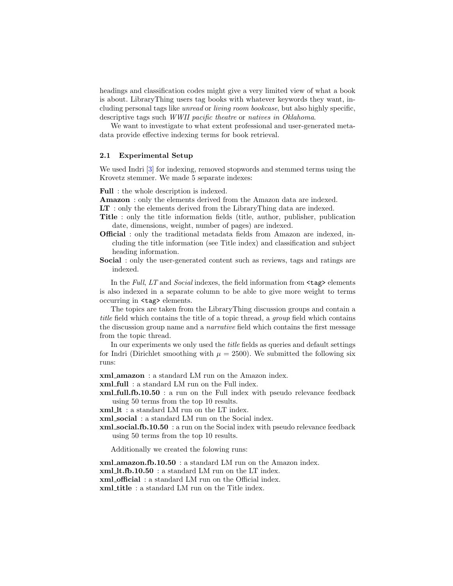headings and classification codes might give a very limited view of what a book is about. LibraryThing users tag books with whatever keywords they want, including personal tags like unread or living room bookcase, but also highly specific, descriptive tags such WWII pacific theatre or natives in Oklahoma.

We want to investigate to what extent professional and user-generated metadata provide effective indexing terms for book retrieval.

#### 2.1 Experimental Setup

We used Indri [\[3\]](#page-12-2) for indexing, removed stopwords and stemmed terms using the Krovetz stemmer. We made 5 separate indexes:

Full : the whole description is indexed.

Amazon: only the elements derived from the Amazon data are indexed.

LT : only the elements derived from the LibraryThing data are indexed.

- Title : only the title information fields (title, author, publisher, publication date, dimensions, weight, number of pages) are indexed.
- Official : only the traditional metadata fields from Amazon are indexed, including the title information (see Title index) and classification and subject heading information.
- Social : only the user-generated content such as reviews, tags and ratings are indexed.

In the Full, LT and Social indexes, the field information from  $\langle \text{tag}\rangle$  elements is also indexed in a separate column to be able to give more weight to terms occurring in <tag> elements.

The topics are taken from the LibraryThing discussion groups and contain a title field which contains the title of a topic thread, a group field which contains the discussion group name and a narrative field which contains the first message from the topic thread.

In our experiments we only used the title fields as queries and default settings for Indri (Dirichlet smoothing with  $\mu = 2500$ ). We submitted the following six runs:

xml amazon : a standard LM run on the Amazon index.

xml full : a standard LM run on the Full index.

xml full.fb.10.50 : a run on the Full index with pseudo relevance feedback using 50 terms from the top 10 results.

xml lt : a standard LM run on the LT index.

xml social : a standard LM run on the Social index.

xml social.fb.10.50 : a run on the Social index with pseudo relevance feedback using 50 terms from the top 10 results.

Additionally we created the folowing runs:

xml amazon.fb.10.50 : a standard LM run on the Amazon index. xml lt.fb.10.50 : a standard LM run on the LT index. xml official : a standard LM run on the Official index. xml title : a standard LM run on the Title index.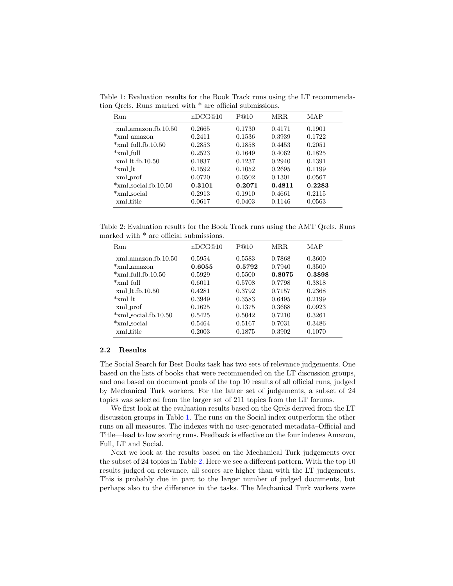<span id="page-3-0"></span>Table 1: Evaluation results for the Book Track runs using the LT recommendation Qrels. Runs marked with \* are official submissions.

| Run                               | nDCG@10 | P@10   | MRR    | MAP    |
|-----------------------------------|---------|--------|--------|--------|
| $xml$ <sub>amazon.fb</sub> .10.50 | 0.2665  | 0.1730 | 0.4171 | 0.1901 |
| $*$ xml_amazon                    | 0.2411  | 0.1536 | 0.3939 | 0.1722 |
| $*$ xml_full.fb.10.50             | 0.2853  | 0.1858 | 0.4453 | 0.2051 |
| $*$ xml_full                      | 0.2523  | 0.1649 | 0.4062 | 0.1825 |
| $xml_l.t.fb.10.50$                | 0.1837  | 0.1237 | 0.2940 | 0.1391 |
| $*$ xml_lt                        | 0.1592  | 0.1052 | 0.2695 | 0.1199 |
| xml_prof                          | 0.0720  | 0.0502 | 0.1301 | 0.0567 |
| $*$ xml_social.fb.10.50           | 0.3101  | 0.2071 | 0.4811 | 0.2283 |
| $*$ xml social                    | 0.2913  | 0.1910 | 0.4661 | 0.2115 |
| xml_title                         | 0.0617  | 0.0403 | 0.1146 | 0.0563 |

<span id="page-3-1"></span>Table 2: Evaluation results for the Book Track runs using the AMT Qrels. Runs marked with  $*$  are official submissions.

| Run                     | nDCG@10 | P@10   | MRR    | MAP    |
|-------------------------|---------|--------|--------|--------|
| xml_amazon.fb.10.50     | 0.5954  | 0.5583 | 0.7868 | 0.3600 |
| *xml_amazon             | 0.6055  | 0.5792 | 0.7940 | 0.3500 |
| $*$ xml_full.fb.10.50   | 0.5929  | 0.5500 | 0.8075 | 0.3898 |
| $*$ xml full            | 0.6011  | 0.5708 | 0.7798 | 0.3818 |
| $xml_l$ t.fb.10.50      | 0.4281  | 0.3792 | 0.7157 | 0.2368 |
| $*$ xml lt              | 0.3949  | 0.3583 | 0.6495 | 0.2199 |
| xml_prof                | 0.1625  | 0.1375 | 0.3668 | 0.0923 |
| $*$ xml_social.fb.10.50 | 0.5425  | 0.5042 | 0.7210 | 0.3261 |
| *xml_social             | 0.5464  | 0.5167 | 0.7031 | 0.3486 |
| xml_title               | 0.2003  | 0.1875 | 0.3902 | 0.1070 |

## 2.2 Results

The Social Search for Best Books task has two sets of relevance judgements. One based on the lists of books that were recommended on the LT discussion groups, and one based on document pools of the top 10 results of all official runs, judged by Mechanical Turk workers. For the latter set of judgements, a subset of 24 topics was selected from the larger set of 211 topics from the LT forums.

We first look at the evaluation results based on the Qrels derived from the LT discussion groups in Table [1.](#page-3-0) The runs on the Social index outperform the other runs on all measures. The indexes with no user-generated metadata–Official and Title—lead to low scoring runs. Feedback is effective on the four indexes Amazon, Full, LT and Social.

Next we look at the results based on the Mechanical Turk judgements over the subset of 24 topics in Table [2.](#page-3-1) Here we see a different pattern. With the top 10 results judged on relevance, all scores are higher than with the LT judgements. This is probably due in part to the larger number of judged documents, but perhaps also to the difference in the tasks. The Mechanical Turk workers were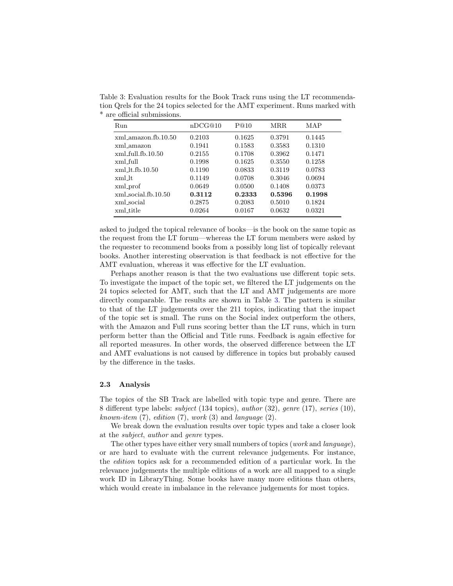<span id="page-4-0"></span>Table 3: Evaluation results for the Book Track runs using the LT recommendation Qrels for the 24 topics selected for the AMT experiment. Runs marked with \* are official submissions.

| Run                               | nDCG@10 | P@10   | <b>MRR</b> | MAP    |
|-----------------------------------|---------|--------|------------|--------|
| $xml$ <sub>amazon.fb</sub> .10.50 | 0.2103  | 0.1625 | 0.3791     | 0.1445 |
| xml_amazon                        | 0.1941  | 0.1583 | 0.3583     | 0.1310 |
| $xml$ -full.fb.10.50              | 0.2155  | 0.1708 | 0.3962     | 0.1471 |
| xml_full                          | 0.1998  | 0.1625 | 0.3550     | 0.1258 |
| $xml_l.t.fb.10.50$                | 0.1190  | 0.0833 | 0.3119     | 0.0783 |
| xml_lt                            | 0.1149  | 0.0708 | 0.3046     | 0.0694 |
| xml_prof                          | 0.0649  | 0.0500 | 0.1408     | 0.0373 |
| $xml$ social.fb.10.50             | 0.3112  | 0.2333 | 0.5396     | 0.1998 |
| xml_social                        | 0.2875  | 0.2083 | 0.5010     | 0.1824 |
| xml_title                         | 0.0264  | 0.0167 | 0.0632     | 0.0321 |

asked to judged the topical relevance of books—is the book on the same topic as the request from the LT forum—whereas the LT forum members were asked by the requester to recommend books from a possibly long list of topically relevant books. Another interesting observation is that feedback is not effective for the AMT evaluation, whereas it was effective for the LT evaluation.

Perhaps another reason is that the two evaluations use different topic sets. To investigate the impact of the topic set, we filtered the LT judgements on the 24 topics selected for AMT, such that the LT and AMT judgements are more directly comparable. The results are shown in Table [3.](#page-4-0) The pattern is similar to that of the LT judgements over the 211 topics, indicating that the impact of the topic set is small. The runs on the Social index outperform the others, with the Amazon and Full runs scoring better than the LT runs, which in turn perform better than the Official and Title runs. Feedback is again effective for all reported measures. In other words, the observed difference between the LT and AMT evaluations is not caused by difference in topics but probably caused by the difference in the tasks.

#### 2.3 Analysis

The topics of the SB Track are labelled with topic type and genre. There are 8 different type labels: subject (134 topics), author (32), genre (17), series (10), known-item  $(7)$ , edition  $(7)$ , work  $(3)$  and language  $(2)$ .

We break down the evaluation results over topic types and take a closer look at the subject, author and genre types.

The other types have either very small numbers of topics (work and language), or are hard to evaluate with the current relevance judgements. For instance, the edition topics ask for a recommended edition of a particular work. In the relevance judgements the multiple editions of a work are all mapped to a single work ID in LibraryThing. Some books have many more editions than others, which would create in imbalance in the relevance judgements for most topics.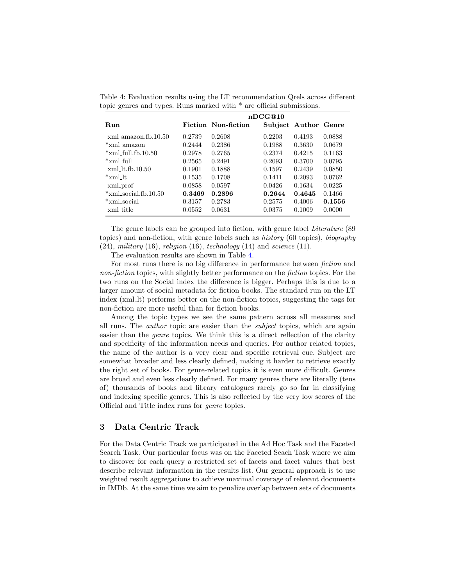<span id="page-5-1"></span>Table 4: Evaluation results using the LT recommendation Qrels across different topic genres and types. Runs marked with \* are official submissions.

|                                   |        |                     | nDCG@10 |                      |        |
|-----------------------------------|--------|---------------------|---------|----------------------|--------|
| Run                               |        | Fiction Non-fiction |         | Subject Author Genre |        |
| $xml$ <sub>amazon.fb</sub> .10.50 | 0.2739 | 0.2608              | 0.2203  | 0.4193               | 0.0888 |
| *xml_amazon                       | 0.2444 | 0.2386              | 0.1988  | 0.3630               | 0.0679 |
| $*$ xml_full.fb.10.50             | 0.2978 | 0.2765              | 0.2374  | 0.4215               | 0.1163 |
| $*$ xml_full                      | 0.2565 | 0.2491              | 0.2093  | 0.3700               | 0.0795 |
| xmllt.fb.10.50                    | 0.1901 | 0.1888              | 0.1597  | 0.2439               | 0.0850 |
| $*$ xml lt                        | 0.1535 | 0.1708              | 0.1411  | 0.2093               | 0.0762 |
| xml_prof                          | 0.0858 | 0.0597              | 0.0426  | 0.1634               | 0.0225 |
| $*$ xml_social.fb.10.50           | 0.3469 | 0.2896              | 0.2644  | 0.4645               | 0.1466 |
| *xml_social                       | 0.3157 | 0.2783              | 0.2575  | 0.4006               | 0.1556 |
| xml_title                         | 0.0552 | 0.0631              | 0.0375  | 0.1009               | 0.0000 |

The genre labels can be grouped into fiction, with genre label Literature (89 topics) and non-fiction, with genre labels such as history (60 topics), biography  $(24)$ , military  $(16)$ , religion  $(16)$ , technology  $(14)$  and science  $(11)$ .

The evaluation results are shown in Table [4.](#page-5-1)

For most runs there is no big difference in performance between fiction and non-fiction topics, with slightly better performance on the fiction topics. For the two runs on the Social index the difference is bigger. Perhaps this is due to a larger amount of social metadata for fiction books. The standard run on the LT index (xml lt) performs better on the non-fiction topics, suggesting the tags for non-fiction are more useful than for fiction books.

Among the topic types we see the same pattern across all measures and all runs. The author topic are easier than the subject topics, which are again easier than the *genre* topics. We think this is a direct reflection of the clarity and specificity of the information needs and queries. For author related topics, the name of the author is a very clear and specific retrieval cue. Subject are somewhat broader and less clearly defined, making it harder to retrieve exactly the right set of books. For genre-related topics it is even more difficult. Genres are broad and even less clearly defined. For many genres there are literally (tens of) thousands of books and library catalogues rarely go so far in classifying and indexing specific genres. This is also reflected by the very low scores of the Official and Title index runs for genre topics.

# <span id="page-5-0"></span>3 Data Centric Track

For the Data Centric Track we participated in the Ad Hoc Task and the Faceted Search Task. Our particular focus was on the Faceted Seach Task where we aim to discover for each query a restricted set of facets and facet values that best describe relevant information in the results list. Our general approach is to use weighted result aggregations to achieve maximal coverage of relevant documents in IMDb. At the same time we aim to penalize overlap between sets of documents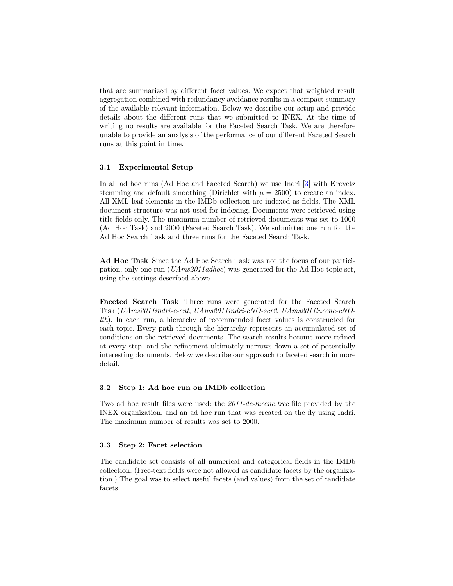that are summarized by different facet values. We expect that weighted result aggregation combined with redundancy avoidance results in a compact summary of the available relevant information. Below we describe our setup and provide details about the different runs that we submitted to INEX. At the time of writing no results are available for the Faceted Search Task. We are therefore unable to provide an analysis of the performance of our different Faceted Search runs at this point in time.

### 3.1 Experimental Setup

In all ad hoc runs (Ad Hoc and Faceted Search) we use Indri [\[3\]](#page-12-2) with Krovetz stemming and default smoothing (Dirichlet with  $\mu = 2500$ ) to create an index. All XML leaf elements in the IMDb collection are indexed as fields. The XML document structure was not used for indexing. Documents were retrieved using title fields only. The maximum number of retrieved documents was set to 1000 (Ad Hoc Task) and 2000 (Faceted Search Task). We submitted one run for the Ad Hoc Search Task and three runs for the Faceted Search Task.

Ad Hoc Task Since the Ad Hoc Search Task was not the focus of our participation, only one run (UAms2011adhoc) was generated for the Ad Hoc topic set, using the settings described above.

Faceted Search Task Three runs were generated for the Faceted Search Task (UAms2011indri-c-cnt, UAms2011indri-cNO-scr2, UAms2011lucene-cNOlth). In each run, a hierarchy of recommended facet values is constructed for each topic. Every path through the hierarchy represents an accumulated set of conditions on the retrieved documents. The search results become more refined at every step, and the refinement ultimately narrows down a set of potentially interesting documents. Below we describe our approach to faceted search in more detail.

## 3.2 Step 1: Ad hoc run on IMDb collection

Two ad hoc result files were used: the 2011-dc-lucene.trec file provided by the INEX organization, and an ad hoc run that was created on the fly using Indri. The maximum number of results was set to 2000.

#### 3.3 Step 2: Facet selection

The candidate set consists of all numerical and categorical fields in the IMDb collection. (Free-text fields were not allowed as candidate facets by the organization.) The goal was to select useful facets (and values) from the set of candidate facets.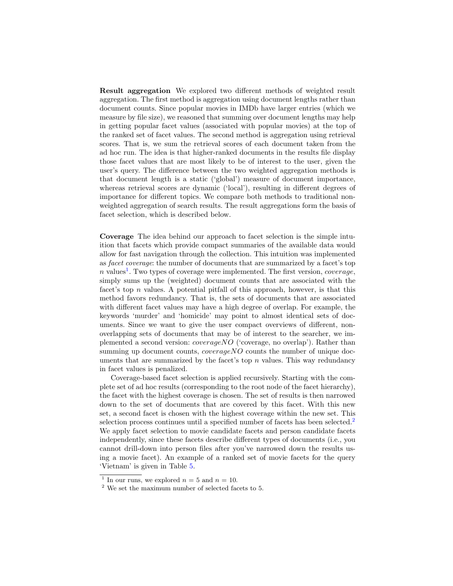Result aggregation We explored two different methods of weighted result aggregation. The first method is aggregation using document lengths rather than document counts. Since popular movies in IMDb have larger entries (which we measure by file size), we reasoned that summing over document lengths may help in getting popular facet values (associated with popular movies) at the top of the ranked set of facet values. The second method is aggregation using retrieval scores. That is, we sum the retrieval scores of each document taken from the ad hoc run. The idea is that higher-ranked documents in the results file display those facet values that are most likely to be of interest to the user, given the user's query. The difference between the two weighted aggregation methods is that document length is a static ('global') measure of document importance, whereas retrieval scores are dynamic ('local'), resulting in different degrees of importance for different topics. We compare both methods to traditional nonweighted aggregation of search results. The result aggregations form the basis of facet selection, which is described below.

Coverage The idea behind our approach to facet selection is the simple intuition that facets which provide compact summaries of the available data would allow for fast navigation through the collection. This intuition was implemented as facet coverage: the number of documents that are summarized by a facet's top n values<sup>[1](#page-7-0)</sup>. Two types of coverage were implemented. The first version, *coverage*, simply sums up the (weighted) document counts that are associated with the facet's top  $n$  values. A potential pitfall of this approach, however, is that this method favors redundancy. That is, the sets of documents that are associated with different facet values may have a high degree of overlap. For example, the keywords 'murder' and 'homicide' may point to almost identical sets of documents. Since we want to give the user compact overviews of different, nonoverlapping sets of documents that may be of interest to the searcher, we implemented a second version: *coverageNO* ('coverage, no overlap'). Rather than summing up document counts, *coverageNO* counts the number of unique documents that are summarized by the facet's top  $n$  values. This way redundancy in facet values is penalized.

Coverage-based facet selection is applied recursively. Starting with the complete set of ad hoc results (corresponding to the root node of the facet hierarchy), the facet with the highest coverage is chosen. The set of results is then narrowed down to the set of documents that are covered by this facet. With this new set, a second facet is chosen with the highest coverage within the new set. This selection process continues until a specified number of facets has been selected.<sup>[2](#page-7-1)</sup> We apply facet selection to movie candidate facets and person candidate facets independently, since these facets describe different types of documents (i.e., you cannot drill-down into person files after you've narrowed down the results using a movie facet). An example of a ranked set of movie facets for the query 'Vietnam' is given in Table [5.](#page-8-0)

<span id="page-7-0"></span><sup>&</sup>lt;sup>1</sup> In our runs, we explored  $n = 5$  and  $n = 10$ .

<span id="page-7-1"></span> $^{\rm 2}$  We set the maximum number of selected facets to 5.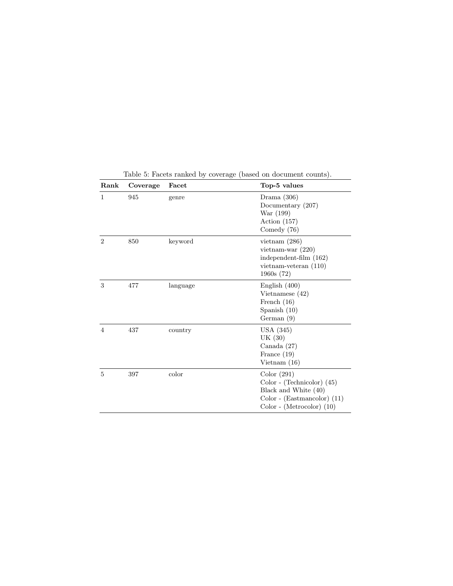<span id="page-8-0"></span>

| Rank           | Coverage | Facet    | Top-5 values                                                                                                                          |
|----------------|----------|----------|---------------------------------------------------------------------------------------------------------------------------------------|
| 1              | 945      | genre    | Drama $(306)$<br>Documentary $(207)$<br>War (199)<br>Action $(157)$<br>Comedy (76)                                                    |
| $\overline{2}$ | 850      | keyword  | vietnam $(286)$<br>vietnam-war $(220)$<br>independent-film (162)<br>vietnam-veteran $(110)$<br>1960s (72)                             |
| 3              | 477      | language | English $(400)$<br>Vietnamese $(42)$<br>French $(16)$<br>Spanish (10)<br>German $(9)$                                                 |
| $\overline{4}$ | 437      | country  | USA (345)<br>UK (30)<br>Canada $(27)$<br>France $(19)$<br>Vietnam $(16)$                                                              |
| 5              | 397      | color    | Color $(291)$<br>Color - (Technicolor) $(45)$<br>Black and White (40)<br>$Color - (Eastmancolor)$ (11)<br>$Color - (Metrocolor) (10)$ |

Table 5: Facets ranked by coverage (based on document counts).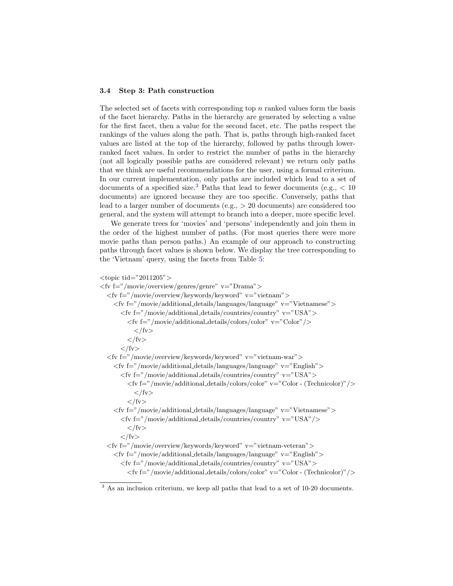#### 3.4 Step 3: Path construction

The selected set of facets with corresponding top  $n$  ranked values form the basis of the facet hierarchy. Paths in the hierarchy are generated by selecting a value for the first facet, then a value for the second facet, etc. The paths respect the rankings of the values along the path. That is, paths through high-ranked facet values are listed at the top of the hierarchy, followed by paths through lowerranked facet values. In order to restrict the number of paths in the hierarchy (not all logically possible paths are considered relevant) we return only paths that we think are useful recommendations for the user, using a formal criterium. In our current implementation, only paths are included which lead to a set of documents of a specified size.<sup>[3](#page-9-0)</sup> Paths that lead to fewer documents (e.g.,  $< 10$ ) documents) are ignored because they are too specific. Conversely, paths that lead to a larger number of documents (e.g., > 20 documents) are considered too general, and the system will attempt to branch into a deeper, more specific level.

We generate trees for 'movies' and 'persons' independently and join them in the order of the highest number of paths. (For most queries there were more movie paths than person paths.) An example of our approach to constructing paths through facet values is shown below. We display the tree corresponding to the 'Vietnam' query, using the facets from Table [5:](#page-8-0)

 $<$ topic tid="2011205">  $\langle$  fv f="/movie/overview/genres/genre" v="Drama">  $\langle$  fv f="/movie/overview/keywords/keyword" v="vietnam">  $\langle$ fv f="/movie/additional\_details/languages/language" v="Vietnamese">  $\langle$  fv f="/movie/additional\_details/countries/country" v="USA">  $\langle$  fv f="/movie/additional\_details/colors/color" v="Color"/>  $\langle$ fv>  $\langle$ fv>  $\langle$ fv>  $\langle$  fv f="/movie/overview/keywords/keyword" v="vietnam-war">  $\langle$ fv f="/movie/additional\_details/languages/language" v="English">  $\langle$  fv f="/movie/additional\_details/countries/country" v="USA">  $\langle$  fv f="/movie/additional\_details/colors/color" v="Color - (Technicolor)"/>  $\langle$ fv>  $\langle$ fv>  $\langle$ fv f="/movie/additional\_details/languages/language" v="Vietnamese">  $\langle$ fv f="/movie/additional\_details/countries/country" v="USA"/>  $\langle$ fv>  $\langle$ fv>  $\langle$ fv f="/movie/overview/keywords/keyword" v="vietnam-veteran">  $\langle$  fv f="/movie/additional\_details/languages/language" v="English">  $\langle$  fv f="/movie/additional\_details/countries/country" v="USA">  $\langle$ fv f="/movie/additional\_details/colors/color" v="Color - (Technicolor)"/>

<span id="page-9-0"></span><sup>3</sup> As an inclusion criterium, we keep all paths that lead to a set of 10-20 documents.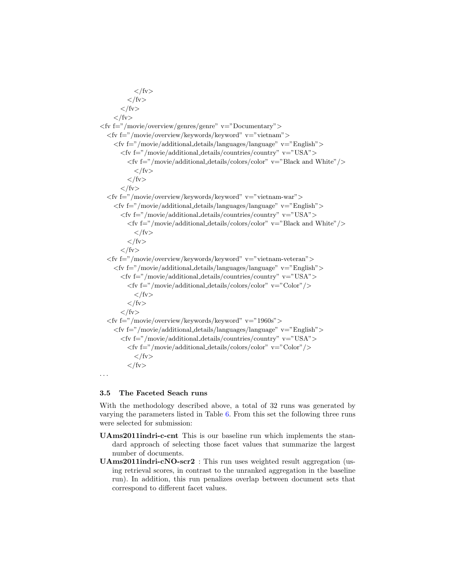$\langle$ fv>  $\langle$ fv>  $\langle$ fv>  $\langle$ fv>  $\langle$  fv f="/movie/overview/genres/genre" v="Documentary">  $\langle$ fv f="/movie/overview/keywords/keyword" v="vietnam">  $\langle$  fv f="/movie/additional\_details/languages/language" v="English">  $\langle$  fv f="/movie/additional\_details/countries/country" v="USA">  $\langle$  fv f="/movie/additional\_details/colors/color" v="Black and White"/>  $\langle$ fv>  $\langle$ fv>  $\langle$ fv>  $\langle$  fv f="/movie/overview/keywords/keyword" v="vietnam-war">  $\langle$ fv f="/movie/additional\_details/languages/language" v="English">  $\langle$  fv f="/movie/additional\_details/countries/country" v="USA">  $\langle$  fv f="/movie/additional\_details/colors/color" v="Black and White"/>  $\langle$ fv>  $\langle$ fv>  $\langle$ fv>  $\langle$  fv f="/movie/overview/keywords/keyword" v="vietnam-veteran">  $\langle$  fv f="/movie/additional\_details/languages/language" v="English">  $\langle$ fv f="/movie/additional\_details/countries/country" v="USA">  $\langle$  fv f="/movie/additional\_details/colors/color" v="Color"/>  $\langle$ fv>  $\langle$ fv>  $\langle$ fv>  $<$ fv f="/movie/overview/keywords/keyword" v="1960s">  $\langle$ fv f="/movie/additional\_details/languages/language" v="English">  $\langle$  fv f="/movie/additional\_details/countries/country" v="USA">  $\langle$  fv f="/movie/additional\_details/colors/color" v="Color"/>  $\langle$ fv>  $\langle$ fv>

## . . .

#### 3.5 The Faceted Seach runs

With the methodology described above, a total of 32 runs was generated by varying the parameters listed in Table [6.](#page-11-1) From this set the following three runs were selected for submission:

- UAms2011indri-c-cnt This is our baseline run which implements the standard approach of selecting those facet values that summarize the largest number of documents.
- UAms2011indri-cNO-scr2 : This run uses weighted result aggregation (using retrieval scores, in contrast to the unranked aggregation in the baseline run). In addition, this run penalizes overlap between document sets that correspond to different facet values.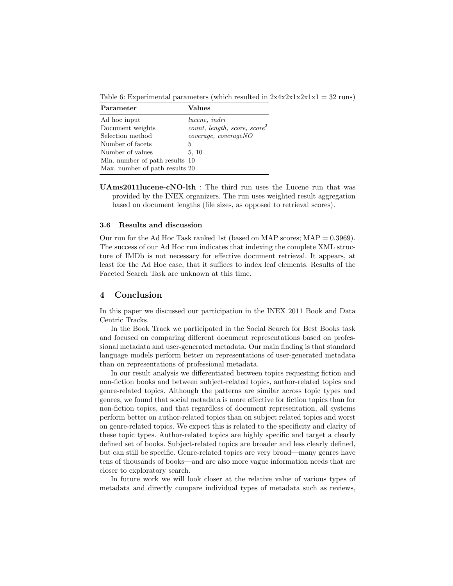<span id="page-11-1"></span>Table 6: Experimental parameters (which resulted in  $2x4x2x1x2x1x1 = 32$  runs)

| Parameter                      | Values                         |
|--------------------------------|--------------------------------|
| Ad hoc input                   | lucene, indri                  |
| Document weights               | $count, length, score, score2$ |
| Selection method               | coverage, coverageNO           |
| Number of facets               | 5.                             |
| Number of values               | 5, 10                          |
| Min. number of path results 10 |                                |
| Max. number of path results 20 |                                |

UAms2011lucene-cNO-lth : The third run uses the Lucene run that was provided by the INEX organizers. The run uses weighted result aggregation based on document lengths (file sizes, as opposed to retrieval scores).

#### 3.6 Results and discussion

Our run for the Ad Hoc Task ranked 1st (based on MAP scores;  $MAP = 0.3969$ ). The success of our Ad Hoc run indicates that indexing the complete XML structure of IMDb is not necessary for effective document retrieval. It appears, at least for the Ad Hoc case, that it suffices to index leaf elements. Results of the Faceted Search Task are unknown at this time.

## <span id="page-11-0"></span>4 Conclusion

In this paper we discussed our participation in the INEX 2011 Book and Data Centric Tracks.

In the Book Track we participated in the Social Search for Best Books task and focused on comparing different document representations based on professional metadata and user-generated metadata. Our main finding is that standard language models perform better on representations of user-generated metadata than on representations of professional metadata.

In our result analysis we differentiated between topics requesting fiction and non-fiction books and between subject-related topics, author-related topics and genre-related topics. Although the patterns are similar across topic types and genres, we found that social metadata is more effective for fiction topics than for non-fiction topics, and that regardless of document representation, all systems perform better on author-related topics than on subject related topics and worst on genre-related topics. We expect this is related to the specificity and clarity of these topic types. Author-related topics are highly specific and target a clearly defined set of books. Subject-related topics are broader and less clearly defined, but can still be specific. Genre-related topics are very broad—many genres have tens of thousands of books—and are also more vague information needs that are closer to exploratory search.

In future work we will look closer at the relative value of various types of metadata and directly compare individual types of metadata such as reviews,